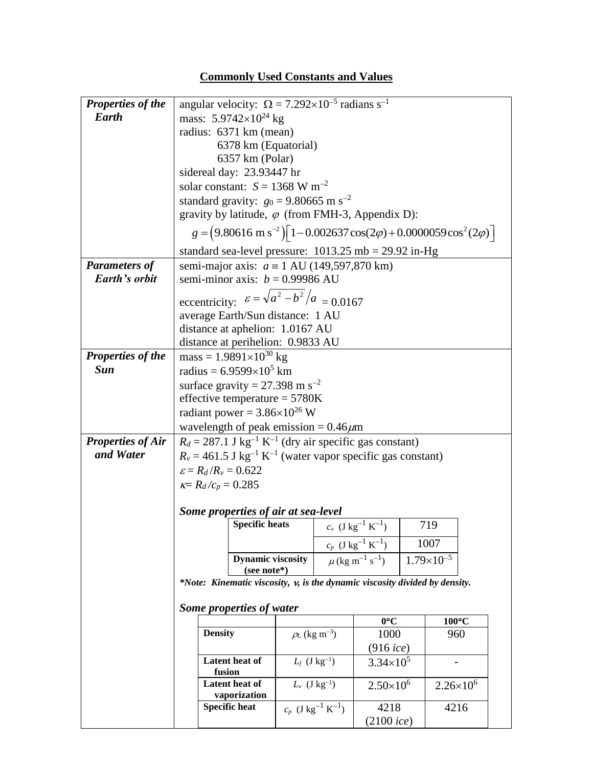## **Commonly Used Constants and Values**

| <b>Properties of the</b> | angular velocity: $\Omega = 7.292 \times 10^{-5}$ radians s <sup>-1</sup>                                |                                                                              |                                             |                                                     |                                             |                     |  |  |  |  |
|--------------------------|----------------------------------------------------------------------------------------------------------|------------------------------------------------------------------------------|---------------------------------------------|-----------------------------------------------------|---------------------------------------------|---------------------|--|--|--|--|
| <b>Earth</b>             | mass: 5.9742×10 <sup>24</sup> kg                                                                         |                                                                              |                                             |                                                     |                                             |                     |  |  |  |  |
|                          | radius: 6371 km (mean)                                                                                   |                                                                              |                                             |                                                     |                                             |                     |  |  |  |  |
|                          | 6378 km (Equatorial)                                                                                     |                                                                              |                                             |                                                     |                                             |                     |  |  |  |  |
|                          | 6357 km (Polar)                                                                                          |                                                                              |                                             |                                                     |                                             |                     |  |  |  |  |
|                          | sidereal day: 23.93447 hr                                                                                |                                                                              |                                             |                                                     |                                             |                     |  |  |  |  |
|                          | solar constant: $S = 1368$ W m <sup>-2</sup>                                                             |                                                                              |                                             |                                                     |                                             |                     |  |  |  |  |
|                          | standard gravity: $g_0 = 9.80665$ m s <sup>-2</sup>                                                      |                                                                              |                                             |                                                     |                                             |                     |  |  |  |  |
|                          | gravity by latitude, $\varphi$ (from FMH-3, Appendix D):                                                 |                                                                              |                                             |                                                     |                                             |                     |  |  |  |  |
|                          | $g = (9.80616 \text{ m s}^{-2}) \left[ 1 - 0.002637 \cos(2\varphi) + 0.0000059 \cos^2(2\varphi) \right]$ |                                                                              |                                             |                                                     |                                             |                     |  |  |  |  |
|                          | standard sea-level pressure: $1013.25 \text{ mb} = 29.92 \text{ in-Hg}$                                  |                                                                              |                                             |                                                     |                                             |                     |  |  |  |  |
| <b>Parameters of</b>     | semi-major axis: $a \equiv 1$ AU (149,597,870 km)                                                        |                                                                              |                                             |                                                     |                                             |                     |  |  |  |  |
| Earth's orbit            | semi-minor axis: $b = 0.99986$ AU                                                                        |                                                                              |                                             |                                                     |                                             |                     |  |  |  |  |
|                          | eccentricity: $\varepsilon = \sqrt{a^2 - b^2}/a = 0.0167$                                                |                                                                              |                                             |                                                     |                                             |                     |  |  |  |  |
|                          | average Earth/Sun distance: 1 AU                                                                         |                                                                              |                                             |                                                     |                                             |                     |  |  |  |  |
|                          | distance at aphelion: 1.0167 AU                                                                          |                                                                              |                                             |                                                     |                                             |                     |  |  |  |  |
|                          | distance at perihelion: 0.9833 AU                                                                        |                                                                              |                                             |                                                     |                                             |                     |  |  |  |  |
| Properties of the        | mass = $1.9891 \times 10^{30}$ kg                                                                        |                                                                              |                                             |                                                     |                                             |                     |  |  |  |  |
| <b>Sun</b>               | radius = $6.9599 \times 10^5$ km                                                                         |                                                                              |                                             |                                                     |                                             |                     |  |  |  |  |
|                          | surface gravity = $27.398$ m s <sup>-2</sup>                                                             |                                                                              |                                             |                                                     |                                             |                     |  |  |  |  |
|                          | effective temperature = $5780K$                                                                          |                                                                              |                                             |                                                     |                                             |                     |  |  |  |  |
|                          | radiant power = $3.86 \times 10^{26}$ W                                                                  |                                                                              |                                             |                                                     |                                             |                     |  |  |  |  |
|                          | wavelength of peak emission = $0.46 \mu m$                                                               |                                                                              |                                             |                                                     |                                             |                     |  |  |  |  |
| <b>Properties of Air</b> | $R_d = 287.1$ J kg <sup>-1</sup> K <sup>-1</sup> (dry air specific gas constant)                         |                                                                              |                                             |                                                     |                                             |                     |  |  |  |  |
| and Water                | $R_v = 461.5$ J kg <sup>-1</sup> K <sup>-1</sup> (water vapor specific gas constant)                     |                                                                              |                                             |                                                     |                                             |                     |  |  |  |  |
|                          | $\varepsilon = R_d/R_v = 0.622$                                                                          |                                                                              |                                             |                                                     |                                             |                     |  |  |  |  |
|                          | $k = R_d/c_p = 0.285$                                                                                    |                                                                              |                                             |                                                     |                                             |                     |  |  |  |  |
|                          |                                                                                                          |                                                                              |                                             |                                                     |                                             |                     |  |  |  |  |
|                          | Some properties of air at sea-level                                                                      |                                                                              |                                             |                                                     |                                             |                     |  |  |  |  |
|                          | <b>Specific heats</b><br>$c_v$ (J kg <sup>-1</sup> K <sup>-1</sup> )                                     |                                                                              |                                             |                                                     |                                             | 719                 |  |  |  |  |
|                          |                                                                                                          |                                                                              |                                             | $c_p$ (J kg <sup>-1</sup> K <sup>-1</sup> )<br>1007 |                                             |                     |  |  |  |  |
|                          |                                                                                                          | <b>Dynamic viscosity</b>                                                     |                                             |                                                     | $\mu$ (kg m <sup>-1</sup> s <sup>-1</sup> ) | $1.79\times10^{-5}$ |  |  |  |  |
|                          | (see note*)                                                                                              |                                                                              |                                             |                                                     |                                             |                     |  |  |  |  |
|                          | *Note: Kinematic viscosity, v, is the dynamic viscosity divided by density.                              |                                                                              |                                             |                                                     |                                             |                     |  |  |  |  |
|                          | Some properties of water                                                                                 |                                                                              |                                             |                                                     |                                             |                     |  |  |  |  |
|                          |                                                                                                          |                                                                              |                                             |                                                     | $0^{\circ}C$                                | $100^{\circ}$ C     |  |  |  |  |
|                          |                                                                                                          | <b>Density</b><br>Latent heat of<br>fusion<br>Latent heat of<br>vaporization |                                             | $\rho_L$ (kg m <sup>-3</sup> )                      | 1000                                        | 960                 |  |  |  |  |
|                          |                                                                                                          |                                                                              |                                             |                                                     | $(916$ ice)                                 |                     |  |  |  |  |
|                          |                                                                                                          |                                                                              |                                             | $L_f$ (J kg <sup>-1</sup> )                         | $3.34 \times 10^5$                          |                     |  |  |  |  |
|                          |                                                                                                          |                                                                              |                                             | $L_v$ (J kg <sup>-1</sup> )                         | $2.50\times10^{6}$                          | $2.26\times10^{6}$  |  |  |  |  |
|                          | <b>Specific heat</b>                                                                                     |                                                                              | $c_p$ (J kg <sup>-1</sup> K <sup>-1</sup> ) |                                                     | 4218                                        | 4216                |  |  |  |  |
|                          |                                                                                                          |                                                                              |                                             |                                                     | (2100ice)                                   |                     |  |  |  |  |